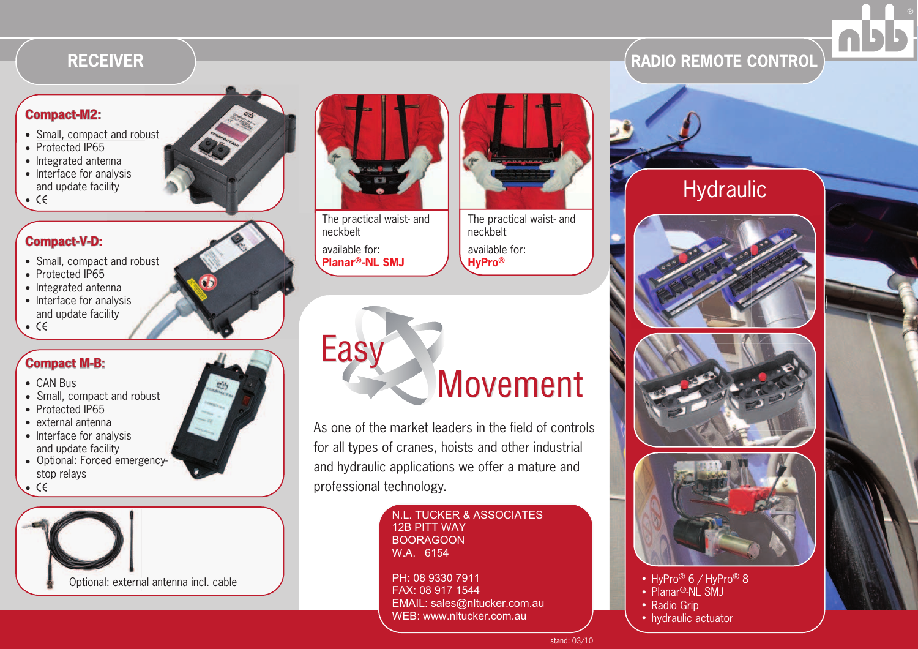## **RECEIVER**

#### **Compact-M2:**

- Small, compact and robust
- $\bullet$  Protected IP65
- $\bullet\,$  Integrated antenna
- Interface for analysis and update facility
- $\bullet$  CE

## **Compact-V-D:**

- Small, compact and robust
- Protected IP65
- $\bullet\,$  Integrated antenna
- Interface for analysis and update facility
- $\bullet$  CE

#### **Compact M-B:**

- $\bullet$  CAN Bus
- Small, compact and robust
- Protected IP65
- $\bullet\,$  external antenna
- Interface for analysis and update facility
- Optional: Forced emergencystop relays
- $\bullet$  CE







neckbeltavailable for: **Planar®-NL SMJ**



The practical waist- and neckbeltavailable for: **HyPro®**

Easy**Movement** 

As one of the market leaders in the field of controls for all types of cranes, hoists and other industrial and hydraulic applications we offer a mature and professional technology.

N.L. TUCKER & ASSOCIATES<br>12B PITT WAY<br>BOORAGOON<br>W.A. 6154<br>PH: 08 9330 7911<br>FAX: 08 917 1544<br>EMAIL: sales@nltucker.com.au<br>WEB: www.nltucker.com.au wEB: www.nltucker.com.au stand: 03/1



- Planar<sup>®</sup>-NL SMJ
- Radio Grip
- hydraulic actuator